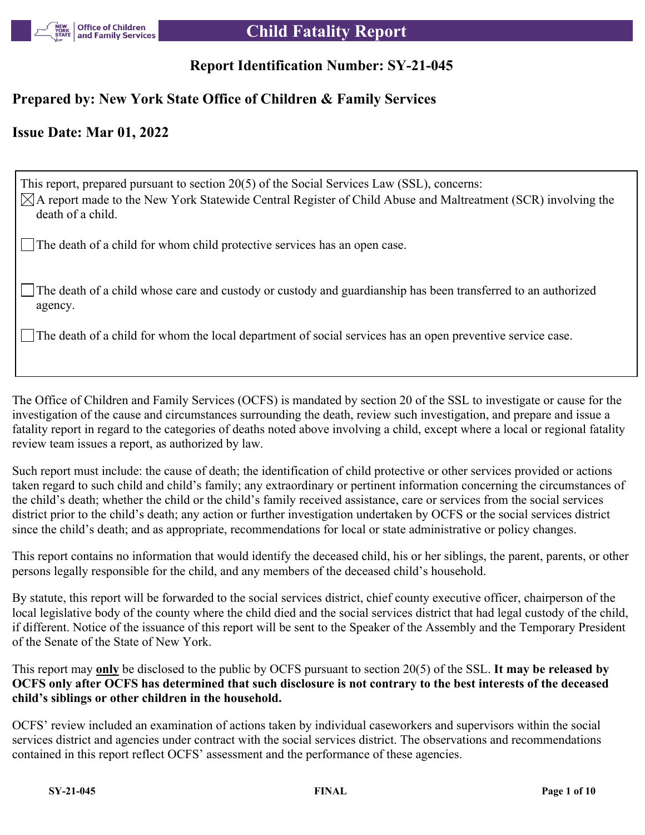

# **Child Fatality Report**

## **Report Identification Number: SY-21-045**

## **Prepared by: New York State Office of Children & Family Services**

## **Issue Date: Mar 01, 2022**

This report, prepared pursuant to section 20(5) of the Social Services Law (SSL), concerns:  $\boxtimes$ A report made to the New York Statewide Central Register of Child Abuse and Maltreatment (SCR) involving the death of a child. The death of a child for whom child protective services has an open case.

The death of a child whose care and custody or custody and guardianship has been transferred to an authorized agency.

The death of a child for whom the local department of social services has an open preventive service case.

The Office of Children and Family Services (OCFS) is mandated by section 20 of the SSL to investigate or cause for the investigation of the cause and circumstances surrounding the death, review such investigation, and prepare and issue a fatality report in regard to the categories of deaths noted above involving a child, except where a local or regional fatality review team issues a report, as authorized by law.

Such report must include: the cause of death; the identification of child protective or other services provided or actions taken regard to such child and child's family; any extraordinary or pertinent information concerning the circumstances of the child's death; whether the child or the child's family received assistance, care or services from the social services district prior to the child's death; any action or further investigation undertaken by OCFS or the social services district since the child's death; and as appropriate, recommendations for local or state administrative or policy changes.

This report contains no information that would identify the deceased child, his or her siblings, the parent, parents, or other persons legally responsible for the child, and any members of the deceased child's household.

By statute, this report will be forwarded to the social services district, chief county executive officer, chairperson of the local legislative body of the county where the child died and the social services district that had legal custody of the child, if different. Notice of the issuance of this report will be sent to the Speaker of the Assembly and the Temporary President of the Senate of the State of New York.

This report may **only** be disclosed to the public by OCFS pursuant to section 20(5) of the SSL. **It may be released by OCFS only after OCFS has determined that such disclosure is not contrary to the best interests of the deceased child's siblings or other children in the household.**

OCFS' review included an examination of actions taken by individual caseworkers and supervisors within the social services district and agencies under contract with the social services district. The observations and recommendations contained in this report reflect OCFS' assessment and the performance of these agencies.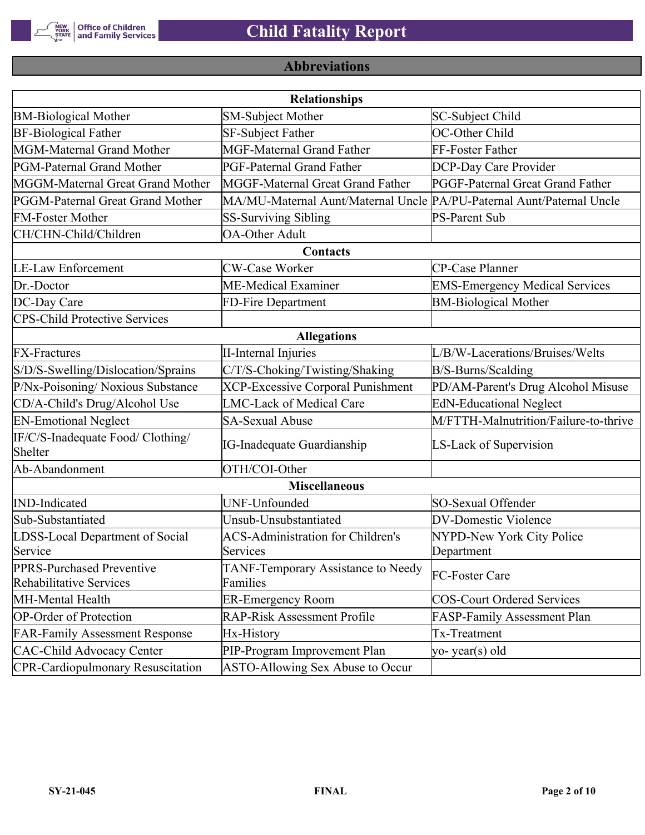

# **Abbreviations**

| <b>Relationships</b>                                 |                                                                       |                                       |  |
|------------------------------------------------------|-----------------------------------------------------------------------|---------------------------------------|--|
| <b>BM-Biological Mother</b>                          | <b>SM-Subject Mother</b>                                              | SC-Subject Child                      |  |
| <b>BF-Biological Father</b>                          | SF-Subject Father                                                     | OC-Other Child                        |  |
| MGM-Maternal Grand Mother                            | <b>MGF-Maternal Grand Father</b>                                      | FF-Foster Father                      |  |
| PGM-Paternal Grand Mother                            | PGF-Paternal Grand Father                                             | DCP-Day Care Provider                 |  |
| MGGM-Maternal Great Grand Mother                     | MGGF-Maternal Great Grand Father                                      | PGGF-Paternal Great Grand Father      |  |
| PGGM-Paternal Great Grand Mother                     | MA/MU-Maternal Aunt/Maternal Uncle PA/PU-Paternal Aunt/Paternal Uncle |                                       |  |
| <b>FM-Foster Mother</b>                              | <b>SS-Surviving Sibling</b>                                           | <b>PS-Parent Sub</b>                  |  |
| CH/CHN-Child/Children                                | <b>OA-Other Adult</b>                                                 |                                       |  |
|                                                      | Contacts                                                              |                                       |  |
| <b>LE-Law Enforcement</b>                            | <b>CW-Case Worker</b>                                                 | CP-Case Planner                       |  |
| Dr.-Doctor                                           | ME-Medical Examiner                                                   | <b>EMS-Emergency Medical Services</b> |  |
| DC-Day Care                                          | FD-Fire Department                                                    | <b>BM-Biological Mother</b>           |  |
| <b>CPS-Child Protective Services</b>                 |                                                                       |                                       |  |
|                                                      | <b>Allegations</b>                                                    |                                       |  |
| <b>FX-Fractures</b>                                  | <b>II-Internal Injuries</b>                                           | L/B/W-Lacerations/Bruises/Welts       |  |
| S/D/S-Swelling/Dislocation/Sprains                   | C/T/S-Choking/Twisting/Shaking                                        | B/S-Burns/Scalding                    |  |
| P/Nx-Poisoning/ Noxious Substance                    | <b>XCP-Excessive Corporal Punishment</b>                              | PD/AM-Parent's Drug Alcohol Misuse    |  |
| CD/A-Child's Drug/Alcohol Use                        | <b>LMC-Lack of Medical Care</b>                                       | <b>EdN-Educational Neglect</b>        |  |
| <b>EN-Emotional Neglect</b>                          | <b>SA-Sexual Abuse</b>                                                | M/FTTH-Malnutrition/Failure-to-thrive |  |
| IF/C/S-Inadequate Food/ Clothing/<br>Shelter         | <b>IG-Inadequate Guardianship</b>                                     | LS-Lack of Supervision                |  |
| Ab-Abandonment                                       | OTH/COI-Other                                                         |                                       |  |
|                                                      | <b>Miscellaneous</b>                                                  |                                       |  |
| <b>IND-Indicated</b>                                 | UNF-Unfounded                                                         | SO-Sexual Offender                    |  |
| Sub-Substantiated                                    | Unsub-Unsubstantiated                                                 | <b>DV-Domestic Violence</b>           |  |
| LDSS-Local Department of Social                      | <b>ACS-Administration for Children's</b>                              | NYPD-New York City Police             |  |
| Service                                              | Services                                                              | Department                            |  |
| PPRS-Purchased Preventive<br>Rehabilitative Services | TANF-Temporary Assistance to Needy<br>Families                        | FC-Foster Care                        |  |
| MH-Mental Health                                     | <b>ER-Emergency Room</b>                                              | <b>COS-Court Ordered Services</b>     |  |
| <b>OP-Order of Protection</b>                        | <b>RAP-Risk Assessment Profile</b>                                    | FASP-Family Assessment Plan           |  |
| <b>FAR-Family Assessment Response</b>                | Hx-History                                                            | Tx-Treatment                          |  |
| <b>CAC-Child Advocacy Center</b>                     | PIP-Program Improvement Plan                                          | yo-year(s) old                        |  |
| <b>CPR-Cardiopulmonary Resuscitation</b>             | ASTO-Allowing Sex Abuse to Occur                                      |                                       |  |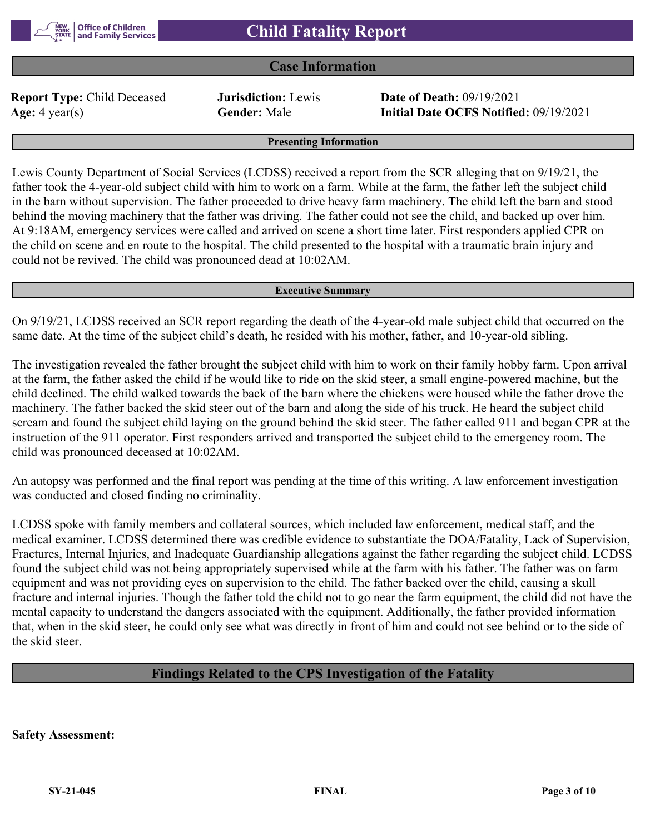

#### **Case Information**

**Report Type:** Child Deceased **Jurisdiction:** Lewis **Date of Death:** 09/19/2021

**Age:** 4 year(s) **Gender:** Male **Initial Date OCFS Notified:** 09/19/2021

#### **Presenting Information**

Lewis County Department of Social Services (LCDSS) received a report from the SCR alleging that on 9/19/21, the father took the 4-year-old subject child with him to work on a farm. While at the farm, the father left the subject child in the barn without supervision. The father proceeded to drive heavy farm machinery. The child left the barn and stood behind the moving machinery that the father was driving. The father could not see the child, and backed up over him. At 9:18AM, emergency services were called and arrived on scene a short time later. First responders applied CPR on the child on scene and en route to the hospital. The child presented to the hospital with a traumatic brain injury and could not be revived. The child was pronounced dead at 10:02AM.

#### **Executive Summary**

On 9/19/21, LCDSS received an SCR report regarding the death of the 4-year-old male subject child that occurred on the same date. At the time of the subject child's death, he resided with his mother, father, and 10-year-old sibling.

The investigation revealed the father brought the subject child with him to work on their family hobby farm. Upon arrival at the farm, the father asked the child if he would like to ride on the skid steer, a small engine-powered machine, but the child declined. The child walked towards the back of the barn where the chickens were housed while the father drove the machinery. The father backed the skid steer out of the barn and along the side of his truck. He heard the subject child scream and found the subject child laying on the ground behind the skid steer. The father called 911 and began CPR at the instruction of the 911 operator. First responders arrived and transported the subject child to the emergency room. The child was pronounced deceased at 10:02AM.

An autopsy was performed and the final report was pending at the time of this writing. A law enforcement investigation was conducted and closed finding no criminality.

LCDSS spoke with family members and collateral sources, which included law enforcement, medical staff, and the medical examiner. LCDSS determined there was credible evidence to substantiate the DOA/Fatality, Lack of Supervision, Fractures, Internal Injuries, and Inadequate Guardianship allegations against the father regarding the subject child. LCDSS found the subject child was not being appropriately supervised while at the farm with his father. The father was on farm equipment and was not providing eyes on supervision to the child. The father backed over the child, causing a skull fracture and internal injuries. Though the father told the child not to go near the farm equipment, the child did not have the mental capacity to understand the dangers associated with the equipment. Additionally, the father provided information that, when in the skid steer, he could only see what was directly in front of him and could not see behind or to the side of the skid steer.

## **Findings Related to the CPS Investigation of the Fatality**

**Safety Assessment:**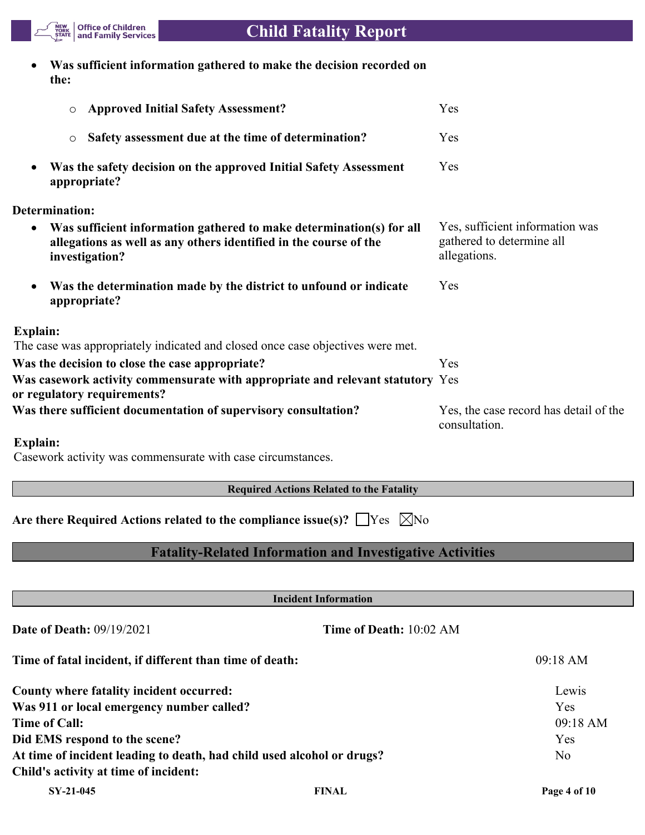

# **Child Fatality Report**

| Was sufficient information gathered to make the decision recorded on |
|----------------------------------------------------------------------|
| the:                                                                 |

| <b>Approved Initial Safety Assessment?</b><br>$\circ$                                                                                                                    | Yes                                                                          |
|--------------------------------------------------------------------------------------------------------------------------------------------------------------------------|------------------------------------------------------------------------------|
| Safety assessment due at the time of determination?<br>$\circ$                                                                                                           | Yes                                                                          |
| Was the safety decision on the approved Initial Safety Assessment<br>appropriate?                                                                                        | Yes                                                                          |
| <b>Determination:</b>                                                                                                                                                    |                                                                              |
| Was sufficient information gathered to make determination(s) for all<br>$\bullet$<br>allegations as well as any others identified in the course of the<br>investigation? | Yes, sufficient information was<br>gathered to determine all<br>allegations. |
| Was the determination made by the district to unfound or indicate<br>appropriate?                                                                                        | Yes                                                                          |
| <b>Explain:</b>                                                                                                                                                          |                                                                              |
| The case was appropriately indicated and closed once case objectives were met.                                                                                           |                                                                              |
| Was the decision to close the case appropriate?                                                                                                                          | Yes                                                                          |
| Was casework activity commensurate with appropriate and relevant statutory Yes<br>or regulatory requirements?                                                            |                                                                              |
| Was there sufficient documentation of supervisory consultation?                                                                                                          | Yes, the case record has detail of the<br>consultation.                      |

## **Explain:**

Casework activity was commensurate with case circumstances.

## **Required Actions Related to the Fatality**

Are there Required Actions related to the compliance issue(s)?  $\Box$  Yes  $\Box$  No

## **Fatality-Related Information and Investigative Activities**

| <b>Incident Information</b>                                            |                                |                    |
|------------------------------------------------------------------------|--------------------------------|--------------------|
| <b>Date of Death: 09/19/2021</b>                                       | <b>Time of Death: 10:02 AM</b> |                    |
| Time of fatal incident, if different than time of death:               |                                | $09:18 \text{ AM}$ |
| County where fatality incident occurred:                               |                                | Lewis              |
| Was 911 or local emergency number called?                              |                                | Yes                |
| Time of Call:                                                          |                                | 09:18 AM           |
| Did EMS respond to the scene?                                          |                                | Yes                |
| At time of incident leading to death, had child used alcohol or drugs? |                                | N <sub>o</sub>     |
| Child's activity at time of incident:                                  |                                |                    |
| SY-21-045                                                              | <b>FINAL</b>                   | Page 4 of 10       |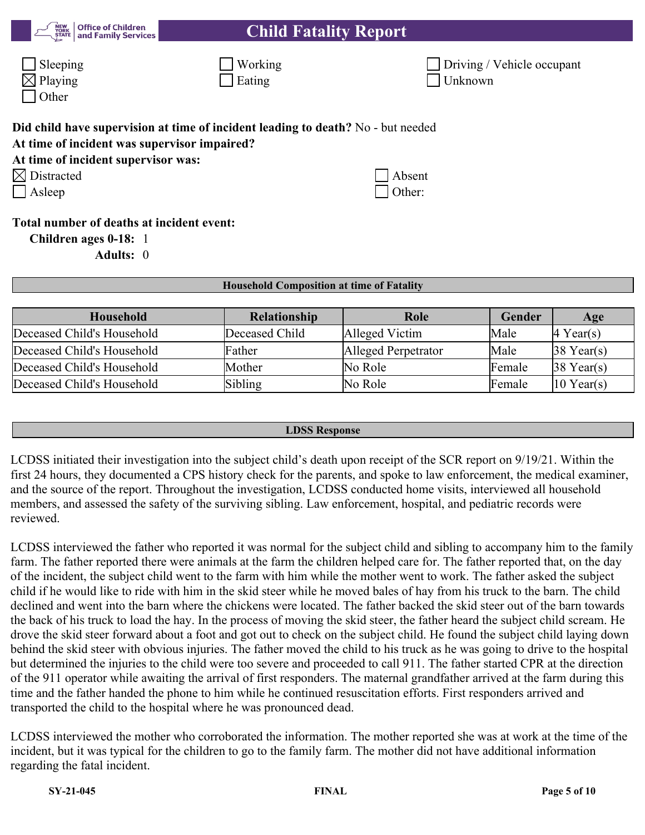| <b>Child Fatality Report</b> |
|------------------------------|
|------------------------------|

| $\Box$ Sleeping     | $\Box$ Working | $\Box$ Driving / |
|---------------------|----------------|------------------|
| $\boxtimes$ Playing | $\Box$ Eating  | $\Box$ Unknown   |
| $\Box$ Other        |                |                  |

**Office of Children<br>and Family Services** 

| ⊔ Working     |
|---------------|
| $\Box$ Eating |

| $\Box$ Sleeping     | <sup>1</sup> Working | Driving / Vehicle occupant |
|---------------------|----------------------|----------------------------|
| $\boxtimes$ Playing | $\perp$ Eating       | <sup>1</sup> Unknown       |

| Did child have supervision at time of incident leading to death? No - but needed<br>At time of incident was supervisor impaired? |        |
|----------------------------------------------------------------------------------------------------------------------------------|--------|
| At time of incident supervisor was:                                                                                              |        |
| $\boxtimes$ Distracted                                                                                                           | Absent |
| $\Box$ Asleep                                                                                                                    | Other: |
| Total number of deaths at incident event:                                                                                        |        |
| Children ages 0-18: 1                                                                                                            |        |
| <b>Adults: 0</b>                                                                                                                 |        |

| <b>Household Composition at time of Fatality</b> |                     |                     |        |                       |
|--------------------------------------------------|---------------------|---------------------|--------|-----------------------|
| <b>Household</b>                                 | <b>Relationship</b> | Role                | Gender | Age                   |
| Deceased Child's Household                       | Deceased Child      | Alleged Victim      | Male   | $ 4 \text{ Year}(s) $ |
| Deceased Child's Household                       | Father              | Alleged Perpetrator | Male   | $38$ Year(s)          |
| Deceased Child's Household                       | Mother              | No Role             | Female | $38$ Year(s)          |
| Deceased Child's Household                       | Sibling             | No Role             | Female | $10$ Year(s)          |

#### **LDSS Response**

LCDSS initiated their investigation into the subject child's death upon receipt of the SCR report on 9/19/21. Within the first 24 hours, they documented a CPS history check for the parents, and spoke to law enforcement, the medical examiner, and the source of the report. Throughout the investigation, LCDSS conducted home visits, interviewed all household members, and assessed the safety of the surviving sibling. Law enforcement, hospital, and pediatric records were reviewed.

LCDSS interviewed the father who reported it was normal for the subject child and sibling to accompany him to the family farm. The father reported there were animals at the farm the children helped care for. The father reported that, on the day of the incident, the subject child went to the farm with him while the mother went to work. The father asked the subject child if he would like to ride with him in the skid steer while he moved bales of hay from his truck to the barn. The child declined and went into the barn where the chickens were located. The father backed the skid steer out of the barn towards the back of his truck to load the hay. In the process of moving the skid steer, the father heard the subject child scream. He drove the skid steer forward about a foot and got out to check on the subject child. He found the subject child laying down behind the skid steer with obvious injuries. The father moved the child to his truck as he was going to drive to the hospital but determined the injuries to the child were too severe and proceeded to call 911. The father started CPR at the direction of the 911 operator while awaiting the arrival of first responders. The maternal grandfather arrived at the farm during this time and the father handed the phone to him while he continued resuscitation efforts. First responders arrived and transported the child to the hospital where he was pronounced dead.

LCDSS interviewed the mother who corroborated the information. The mother reported she was at work at the time of the incident, but it was typical for the children to go to the family farm. The mother did not have additional information regarding the fatal incident.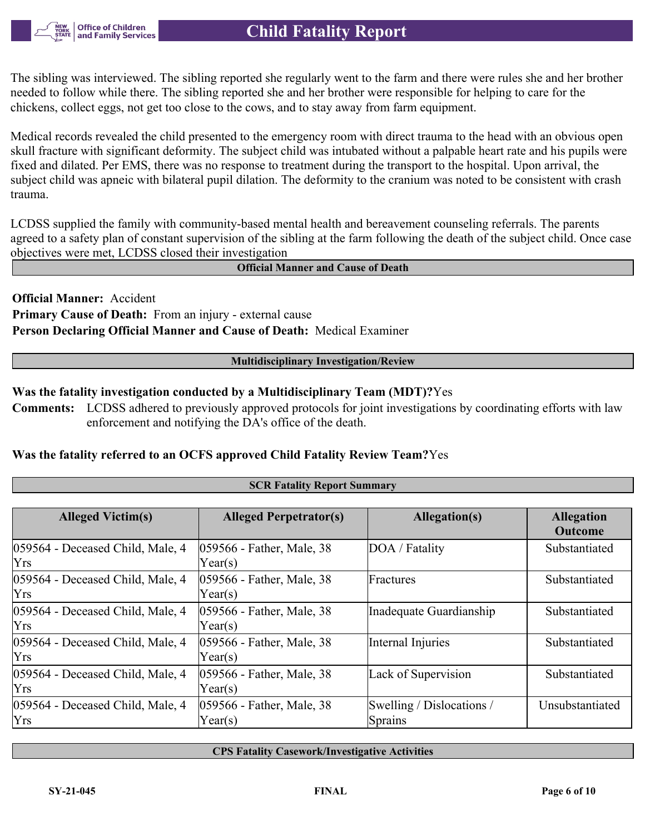The sibling was interviewed. The sibling reported she regularly went to the farm and there were rules she and her brother needed to follow while there. The sibling reported she and her brother were responsible for helping to care for the chickens, collect eggs, not get too close to the cows, and to stay away from farm equipment.

Medical records revealed the child presented to the emergency room with direct trauma to the head with an obvious open skull fracture with significant deformity. The subject child was intubated without a palpable heart rate and his pupils were fixed and dilated. Per EMS, there was no response to treatment during the transport to the hospital. Upon arrival, the subject child was apneic with bilateral pupil dilation. The deformity to the cranium was noted to be consistent with crash trauma.

LCDSS supplied the family with community-based mental health and bereavement counseling referrals. The parents agreed to a safety plan of constant supervision of the sibling at the farm following the death of the subject child. Once case objectives were met, LCDSS closed their investigation

**Official Manner and Cause of Death**

**Official Manner:** Accident **Primary Cause of Death:** From an injury - external cause **Person Declaring Official Manner and Cause of Death:** Medical Examiner

#### **Multidisciplinary Investigation/Review**

## **Was the fatality investigation conducted by a Multidisciplinary Team (MDT)?**Yes

**Comments:** LCDSS adhered to previously approved protocols for joint investigations by coordinating efforts with law enforcement and notifying the DA's office of the death.

**SCR Fatality Report Summary**

#### **Was the fatality referred to an OCFS approved Child Fatality Review Team?**Yes

| <b>SCR Patamy Report Summary</b>               |                                      |                                      |                                     |
|------------------------------------------------|--------------------------------------|--------------------------------------|-------------------------------------|
|                                                |                                      |                                      |                                     |
| <b>Alleged Victim(s)</b>                       | <b>Alleged Perpetrator(s)</b>        | Allegation(s)                        | <b>Allegation</b><br><b>Outcome</b> |
| 059564 - Deceased Child, Male, 4<br><b>Yrs</b> | 059566 - Father, Male, 38<br>Year(s) | DOA / Fatality                       | Substantiated                       |
| 059564 - Deceased Child, Male, 4<br><b>Yrs</b> | 059566 - Father, Male, 38<br>Year(s) | Fractures                            | Substantiated                       |
| 059564 - Deceased Child, Male, 4<br><b>Yrs</b> | 059566 - Father, Male, 38<br>Year(s) | Inadequate Guardianship              | Substantiated                       |
| 059564 - Deceased Child, Male, 4<br>Yrs        | 059566 - Father, Male, 38<br>Year(s) | Internal Injuries                    | Substantiated                       |
| 059564 - Deceased Child, Male, 4<br><b>Yrs</b> | 059566 - Father, Male, 38<br>Year(s) | Lack of Supervision                  | Substantiated                       |
| 059564 - Deceased Child, Male, 4<br><b>Yrs</b> | 059566 - Father, Male, 38<br>Year(s) | Swelling / Dislocations /<br>Sprains | Unsubstantiated                     |

**CPS Fatality Casework/Investigative Activities**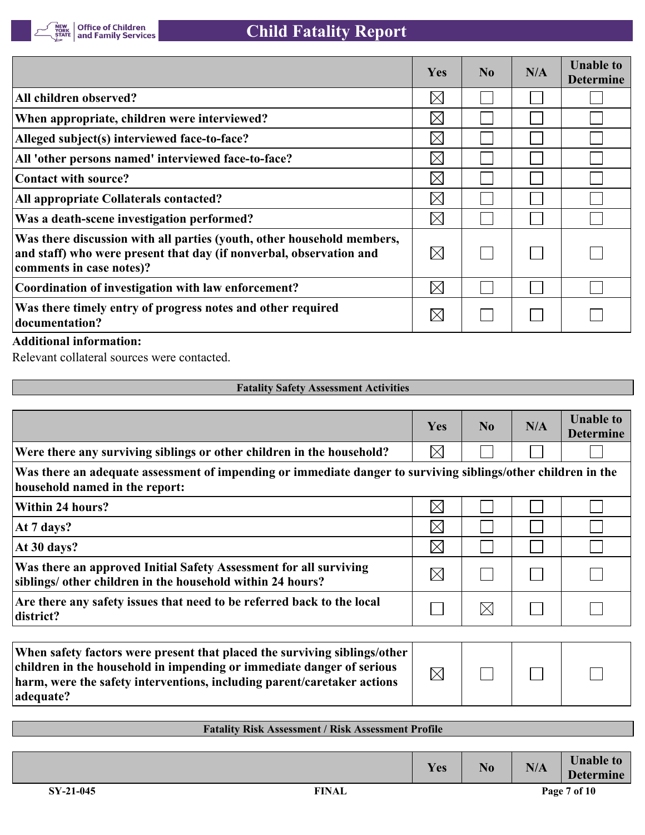

|                                                                                                                                                                           | <b>Yes</b>  | $\bf No$ | N/A | <b>Unable to</b><br><b>Determine</b> |
|---------------------------------------------------------------------------------------------------------------------------------------------------------------------------|-------------|----------|-----|--------------------------------------|
| All children observed?                                                                                                                                                    | $\boxtimes$ |          |     |                                      |
| When appropriate, children were interviewed?                                                                                                                              | $\boxtimes$ |          |     |                                      |
| Alleged subject(s) interviewed face-to-face?                                                                                                                              | $\boxtimes$ |          |     |                                      |
| All 'other persons named' interviewed face-to-face?                                                                                                                       | $\boxtimes$ |          |     |                                      |
| <b>Contact with source?</b>                                                                                                                                               | $\boxtimes$ |          |     |                                      |
| All appropriate Collaterals contacted?                                                                                                                                    | $\boxtimes$ |          |     |                                      |
| Was a death-scene investigation performed?                                                                                                                                | $\boxtimes$ |          |     |                                      |
| Was there discussion with all parties (youth, other household members,<br>and staff) who were present that day (if nonverbal, observation and<br>comments in case notes)? | $\boxtimes$ |          |     |                                      |
| Coordination of investigation with law enforcement?                                                                                                                       | $\boxtimes$ |          |     |                                      |
| Was there timely entry of progress notes and other required<br>documentation?                                                                                             | $\boxtimes$ |          |     |                                      |
|                                                                                                                                                                           |             |          |     |                                      |

#### **Additional information:**

Relevant collateral sources were contacted.

| <b>Fatality Safety Assessment Activities</b> |
|----------------------------------------------|
|                                              |

|                                                                                                                                                                                                                                            | Yes         | N <sub>0</sub> | N/A | <b>Unable to</b><br><b>Determine</b> |
|--------------------------------------------------------------------------------------------------------------------------------------------------------------------------------------------------------------------------------------------|-------------|----------------|-----|--------------------------------------|
| Were there any surviving siblings or other children in the household?                                                                                                                                                                      | $\boxtimes$ |                |     |                                      |
| Was there an adequate assessment of impending or immediate danger to surviving siblings/other children in the<br>household named in the report:                                                                                            |             |                |     |                                      |
| <b>Within 24 hours?</b>                                                                                                                                                                                                                    | $\boxtimes$ |                |     |                                      |
| At 7 days?                                                                                                                                                                                                                                 | $\times$    |                |     |                                      |
| At 30 days?                                                                                                                                                                                                                                | $\boxtimes$ |                |     |                                      |
| Was there an approved Initial Safety Assessment for all surviving<br>siblings/ other children in the household within 24 hours?                                                                                                            | $\boxtimes$ |                |     |                                      |
| Are there any safety issues that need to be referred back to the local<br>district?                                                                                                                                                        |             | $\boxtimes$    |     |                                      |
|                                                                                                                                                                                                                                            |             |                |     |                                      |
| When safety factors were present that placed the surviving siblings/other<br>children in the household in impending or immediate danger of serious<br>harm, were the safety interventions, including parent/caretaker actions<br>adequate? | $\boxtimes$ |                |     |                                      |

| <b>Fatality Risk Assessment / Risk Assessment Profile</b> |            |    |     |                                      |  |  |  |
|-----------------------------------------------------------|------------|----|-----|--------------------------------------|--|--|--|
|                                                           |            |    |     |                                      |  |  |  |
|                                                           | <b>Yes</b> | No | N/A | <b>Unable to</b><br><b>Determine</b> |  |  |  |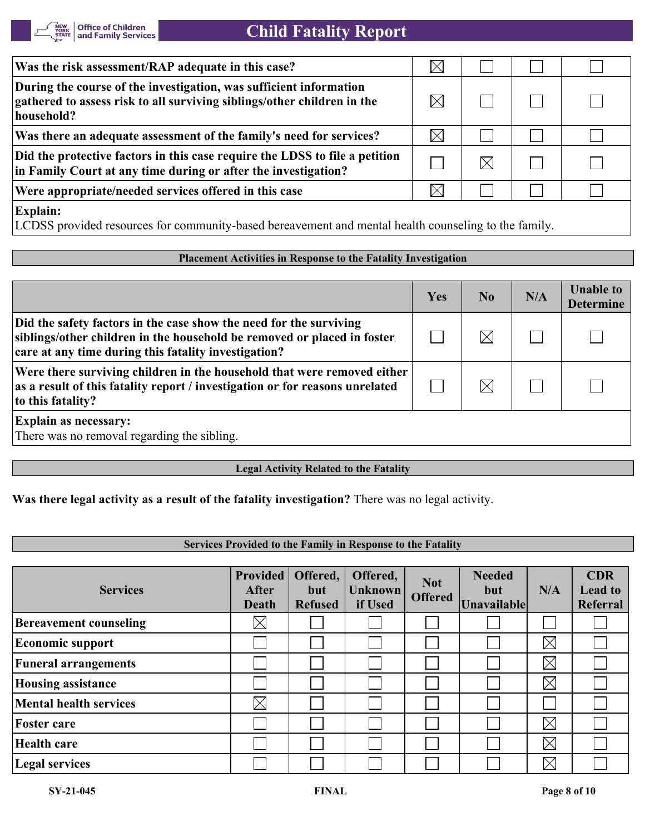

| Was the risk assessment/RAP adequate in this case?                                                                                                                                                                                                                                      | $\times$ |  |  |
|-----------------------------------------------------------------------------------------------------------------------------------------------------------------------------------------------------------------------------------------------------------------------------------------|----------|--|--|
| During the course of the investigation, was sufficient information<br>gathered to assess risk to all surviving siblings/other children in the<br>household?                                                                                                                             |          |  |  |
| Was there an adequate assessment of the family's need for services?                                                                                                                                                                                                                     | $\times$ |  |  |
| Did the protective factors in this case require the LDSS to file a petition<br>in Family Court at any time during or after the investigation?                                                                                                                                           |          |  |  |
| Were appropriate/needed services offered in this case                                                                                                                                                                                                                                   | $\times$ |  |  |
| <b>Explain:</b><br>$\mathsf{I}$ T $\cap$ $\cap$ $\cap$<br>$\mathbf{1}$ and $\mathbf{1}$ and $\mathbf{1}$ and $\mathbf{1}$<br>$\mathbf{r}$ and $\mathbf{r}$<br>$\ddot{a}$ 11 $\ddot{a}$ 1 $\ddot{a}$ 11 $\ddot{a}$ 11 $\ddot{a}$ 11 $\ddot{a}$ 12 $\ddot{a}$ 12 $\ddot{a}$ 12 $\ddot{a}$ |          |  |  |

LCDSS provided resources for community-based bereavement and mental health counseling to the family.

#### **Placement Activities in Response to the Fatality Investigation**

|                                                                                                                                                                                                       | Yes | N <sub>0</sub> | N/A | <b>Unable to</b><br><b>Determine</b> |
|-------------------------------------------------------------------------------------------------------------------------------------------------------------------------------------------------------|-----|----------------|-----|--------------------------------------|
| Did the safety factors in the case show the need for the surviving<br>siblings/other children in the household be removed or placed in foster<br>care at any time during this fatality investigation? |     | $\boxtimes$    |     |                                      |
| Were there surviving children in the household that were removed either<br>as a result of this fatality report / investigation or for reasons unrelated<br>to this fatality?                          |     |                |     |                                      |
| <b>Explain as necessary:</b><br>There was no removal regarding the sibling.                                                                                                                           |     |                |     |                                      |

#### **Legal Activity Related to the Fatality**

## **Was there legal activity as a result of the fatality investigation?** There was no legal activity.

#### **Services Provided to the Family in Response to the Fatality**

| <b>Services</b>               | <b>Provided</b><br>After<br>Death | Offered,<br>but<br><b>Refused</b> | Offered,<br><b>Unknown</b><br>if Used | <b>Not</b><br><b>Offered</b> | <b>Needed</b><br>but<br><b>Unavailable</b> | N/A         | <b>CDR</b><br><b>Lead to</b><br>Referral |
|-------------------------------|-----------------------------------|-----------------------------------|---------------------------------------|------------------------------|--------------------------------------------|-------------|------------------------------------------|
| <b>Bereavement counseling</b> | $\boxtimes$                       |                                   |                                       |                              |                                            |             |                                          |
| <b>Economic support</b>       |                                   |                                   |                                       |                              |                                            | $\boxtimes$ |                                          |
| <b>Funeral arrangements</b>   |                                   |                                   |                                       |                              |                                            | $\boxtimes$ |                                          |
| <b>Housing assistance</b>     |                                   |                                   |                                       |                              |                                            | $\boxtimes$ |                                          |
| <b>Mental health services</b> | $\boxtimes$                       |                                   |                                       |                              |                                            |             |                                          |
| <b>Foster care</b>            |                                   |                                   |                                       |                              |                                            | $\boxtimes$ |                                          |
| Health care                   |                                   |                                   |                                       |                              |                                            | $\boxtimes$ |                                          |
| <b>Legal services</b>         |                                   |                                   |                                       |                              |                                            | $\boxtimes$ |                                          |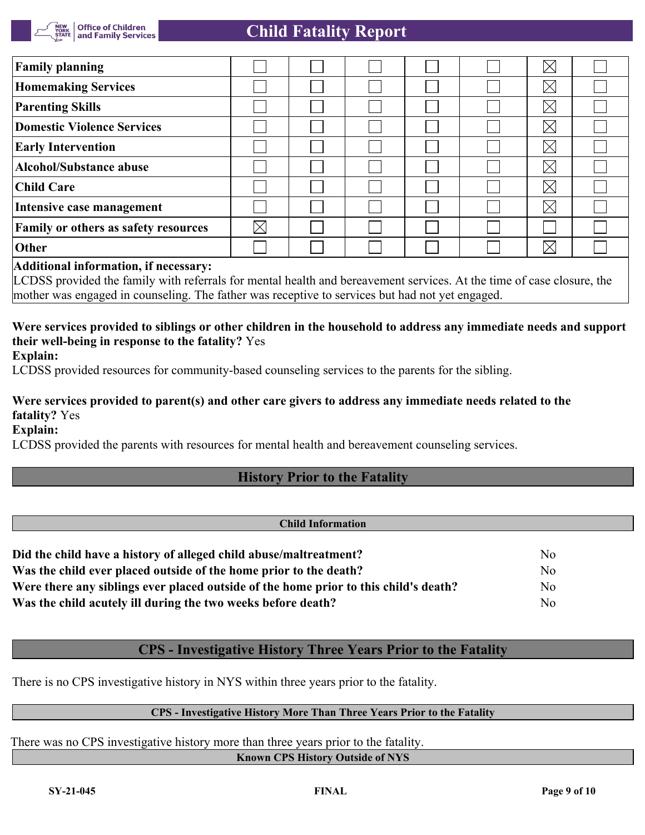

## **Child Fatality Report**

| <b>Family planning</b>                      |             |  |  | $\times$    |  |
|---------------------------------------------|-------------|--|--|-------------|--|
| <b>Homemaking Services</b>                  |             |  |  | $\times$    |  |
| <b>Parenting Skills</b>                     |             |  |  | $\boxtimes$ |  |
| Domestic Violence Services                  |             |  |  | $\times$    |  |
| <b>Early Intervention</b>                   |             |  |  | $\times$    |  |
| Alcohol/Substance abuse                     |             |  |  | $\times$    |  |
| <b>Child Care</b>                           |             |  |  | $\times$    |  |
| Intensive case management                   |             |  |  | $\times$    |  |
| <b>Family or others as safety resources</b> | $\boxtimes$ |  |  |             |  |
| Other                                       |             |  |  | $\times$    |  |
|                                             |             |  |  |             |  |

#### **Additional information, if necessary:**

LCDSS provided the family with referrals for mental health and bereavement services. At the time of case closure, the mother was engaged in counseling. The father was receptive to services but had not yet engaged.

## **Were services provided to siblings or other children in the household to address any immediate needs and support their well-being in response to the fatality?** Yes

**Explain:**

LCDSS provided resources for community-based counseling services to the parents for the sibling.

## **Were services provided to parent(s) and other care givers to address any immediate needs related to the fatality?** Yes

**Explain:**

LCDSS provided the parents with resources for mental health and bereavement counseling services.

## **History Prior to the Fatality**

#### **Child Information**

| Did the child have a history of alleged child abuse/maltreatment?                    | N <sub>0</sub> |
|--------------------------------------------------------------------------------------|----------------|
| Was the child ever placed outside of the home prior to the death?                    | N <sub>0</sub> |
| Were there any siblings ever placed outside of the home prior to this child's death? | No             |
| Was the child acutely ill during the two weeks before death?                         | No             |

## **CPS - Investigative History Three Years Prior to the Fatality**

There is no CPS investigative history in NYS within three years prior to the fatality.

#### **CPS - Investigative History More Than Three Years Prior to the Fatality**

There was no CPS investigative history more than three years prior to the fatality.

**Known CPS History Outside of NYS**